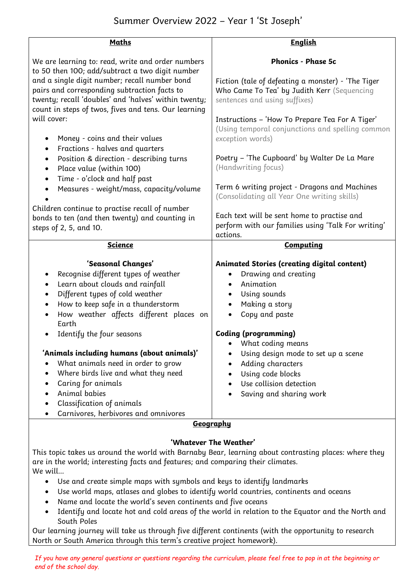| <b>Maths</b>                                                                                                                                                 | <b>English</b>                                                                                      |
|--------------------------------------------------------------------------------------------------------------------------------------------------------------|-----------------------------------------------------------------------------------------------------|
| We are learning to: read, write and order numbers<br>to 50 then 100; add/subtract a two digit number                                                         | <b>Phonics - Phase 5c</b>                                                                           |
| and a single digit number; recall number bond                                                                                                                | Fiction (tale of defeating a monster) - 'The Tiger                                                  |
| pairs and corresponding subtraction facts to<br>twenty; recall 'doubles' and 'halves' within twenty;<br>count in steps of twos, fives and tens. Our learning | Who Came To Tea' by Judith Kerr (Sequencing<br>sentences and using suffixes)                        |
| will cover:                                                                                                                                                  | Instructions - 'How To Prepare Tea For A Tiger'<br>(Using temporal conjunctions and spelling common |
| Money - coins and their values<br>$\bullet$<br>Fractions - halves and quarters<br>$\bullet$                                                                  | exception words)                                                                                    |
| Position & direction - describing turns<br>٠<br>Place value (within 100)<br>$\bullet$                                                                        | Poetry - 'The Cupboard' by Walter De La Mare<br>(Handwriting focus)                                 |
| Time - o'clock and half past<br>$\bullet$<br>Measures - weight/mass, capacity/volume                                                                         | Term 6 writing project - Dragons and Machines<br>(Consolidating all Year One writing skills)        |
| Children continue to practise recall of number                                                                                                               |                                                                                                     |
| bonds to ten (and then twenty) and counting in                                                                                                               | Each text will be sent home to practise and                                                         |
| steps of 2, 5, and 10.                                                                                                                                       | perform with our families using 'Talk For writing'<br>actions.                                      |
| <b>Science</b>                                                                                                                                               | <b>Computing</b>                                                                                    |
|                                                                                                                                                              |                                                                                                     |
| 'Seasonal Changes'<br>Recognise different types of weather<br>٠                                                                                              | <b>Animated Stories (creating digital content)</b><br>Drawing and creating                          |
| Learn about clouds and rainfall<br>$\bullet$                                                                                                                 | Animation                                                                                           |
| Different types of cold weather<br>$\bullet$                                                                                                                 | Using sounds                                                                                        |
| How to keep safe in a thunderstorm<br>$\bullet$                                                                                                              | Making a story                                                                                      |
| How weather affects different places on                                                                                                                      | Copy and paste                                                                                      |
| Earth                                                                                                                                                        |                                                                                                     |
| Identify the four seasons<br>$\bullet$                                                                                                                       | <b>Coding (programming)</b><br>What coding means                                                    |
| 'Animals including humans (about animals)'                                                                                                                   | Using design mode to set up a scene                                                                 |
| What animals need in order to grow                                                                                                                           | Adding characters                                                                                   |
| Where birds live and what they need<br>$\bullet$                                                                                                             | Using code blocks                                                                                   |
| Caring for animals<br>$\bullet$                                                                                                                              | Use collision detection                                                                             |
| Animal babies<br>$\bullet$                                                                                                                                   | Saving and sharing work                                                                             |
| Classification of animals                                                                                                                                    |                                                                                                     |
| Carnivores, herbivores and omnivores                                                                                                                         |                                                                                                     |
| <b>Geography</b>                                                                                                                                             |                                                                                                     |

### *'Whatever The Weather'*

This topic takes us around the world with Barnaby Bear, learning about contrasting places: where they are in the world; interesting facts and features; and comparing their climates. We will...

- Use and create simple maps with symbols and keys to identify landmarks
- Use world maps, atlases and globes to identify world countries, continents and oceans
- Name and locate the world's seven continents and five oceans
- Identify and locate hot and cold areas of the world in relation to the Equator and the North and South Poles

Our learning journey will take us through five different continents (with the opportunity to research North or South America through this term's creative project homework).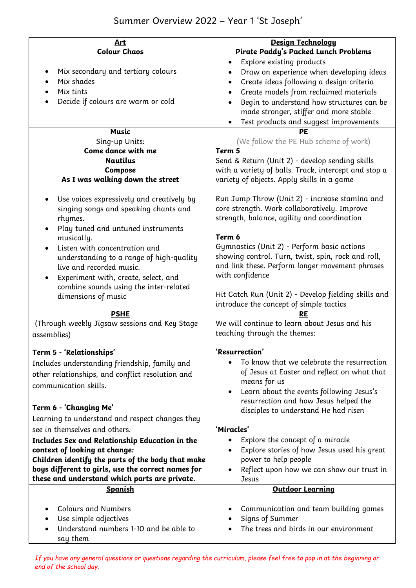# Summer Overview 2022 – Year 1 'St Joseph'

| <u>Art</u>                                                           | Design Technology                                        |
|----------------------------------------------------------------------|----------------------------------------------------------|
| <b>Colour Chaos</b>                                                  | <b>Pirate Paddy's Packed Lunch Problems</b>              |
|                                                                      | Explore existing products                                |
| Mix secondary and tertiary colours<br>$\bullet$                      | Draw on experience when developing ideas                 |
| Mix shades                                                           | Create ideas following a design criteria<br>$\bullet$    |
| Mix tints                                                            | Create models from reclaimed materials<br>$\bullet$      |
| Decide if colours are warm or cold                                   | Begin to understand how structures can be                |
|                                                                      | made stronger, stiffer and more stable                   |
|                                                                      | Test products and suggest improvements                   |
| <b>Music</b>                                                         | PE                                                       |
| Sing-up Units:                                                       | (We follow the PE Hub scheme of work)                    |
| Come dance with me                                                   | Term 5                                                   |
| <b>Nautilus</b>                                                      | Send & Return (Unit 2) - develop sending skills          |
| <b>Compose</b>                                                       | with a variety of balls. Track, intercept and stop a     |
| As I was walking down the street                                     | variety of objects. Apply skills in a game               |
|                                                                      |                                                          |
| Use voices expressively and creatively by<br>$\bullet$               | Run Jump Throw (Unit 2) - increase stamina and           |
| singing songs and speaking chants and                                | core strength. Work collaboratively. Improve             |
| rhymes.                                                              | strength, balance, agility and coordination              |
| Play tuned and untuned instruments<br>$\bullet$                      |                                                          |
| musically.                                                           | Term 6                                                   |
| Listen with concentration and                                        | Gymnastics (Unit 2) - Perform basic actions              |
|                                                                      | showing control. Turn, twist, spin, rock and roll,       |
| understanding to a range of high-quality<br>live and recorded music. | and link these. Perform longer movement phrases          |
|                                                                      | with confidence                                          |
| Experiment with, create, select, and                                 |                                                          |
| combine sounds using the inter-related                               |                                                          |
|                                                                      |                                                          |
| dimensions of music                                                  | Hit Catch Run (Unit 2) - Develop fielding skills and     |
|                                                                      | introduce the concept of simple tactics                  |
| <b>PSHE</b>                                                          | <b>RE</b>                                                |
| (Through weekly Jigsaw sessions and Key Stage                        | We will continue to learn about Jesus and his            |
| assemblies)                                                          | teaching through the themes:                             |
|                                                                      | 'Resurrection'                                           |
| Term 5 - 'Relationships'                                             |                                                          |
| Includes understanding friendship, family and                        | To know that we celebrate the resurrection               |
| other relationships, and conflict resolution and                     | of Jesus at Easter and reflect on what that              |
| communication skills.                                                | means for us                                             |
|                                                                      | Learn about the events following Jesus's<br>٠            |
| Term 6 - 'Changing Me'                                               | resurrection and how Jesus helped the                    |
| Learning to understand and respect changes they                      | disciples to understand He had risen                     |
|                                                                      |                                                          |
| see in themselves and others.                                        | 'Miracles'                                               |
| Includes Sex and Relationship Education in the                       | Explore the concept of a miracle                         |
| context of looking at change:                                        | Explore stories of how Jesus used his great<br>$\bullet$ |
| Children identify the parts of the body that make                    | power to help people                                     |
| boys different to girls, use the correct names for                   | Reflect upon how we can show our trust in                |
| these and understand which parts are private.                        | Jesus                                                    |
| <b>Spanish</b>                                                       | <b>Outdoor Learning</b>                                  |
|                                                                      | ٠                                                        |
| <b>Colours and Numbers</b>                                           | Communication and team building games                    |
| Use simple adjectives                                                | Signs of Summer                                          |
| Understand numbers 1-10 and be able to<br>say them                   | The trees and birds in our environment                   |

*If you have any general questions or questions regarding the curriculum, please feel free to pop in at the beginning or end of the school day.*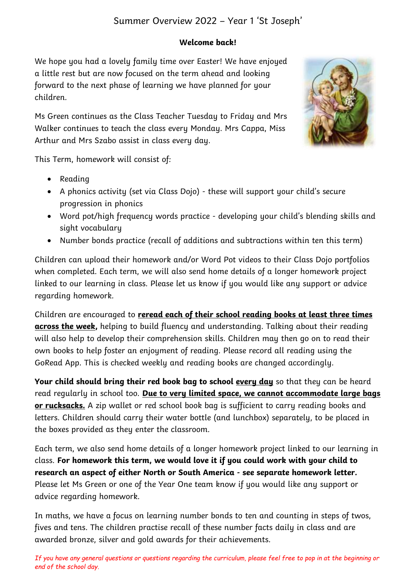## Summer Overview 2022 – Year 1 'St Joseph'

### *Welcome back!*

We hope you had a lovely family time over Easter! We have enioued a little rest but are now focused on the term ahead and looking forward to the next phase of learning we have planned for your children.

Ms Green continues as the Class Teacher Tuesday to Friday and Mrs Walker continues to teach the class every Monday. Mrs Cappa, Miss Arthur and Mrs Szabo assist in class every day.



This Term, homework will consist of:

- Reading
- A phonics activity (set via Class Dojo) these will support your child's secure progression in phonics
- Word pot/high frequency words practice developing your child's blending skills and sight vocabulary
- Number bonds practice (recall of additions and subtractions within ten this term)

Children can upload their homework and/or Word Pot videos to their Class Dojo portfolios when completed. Each term, we will also send home details of a longer homework project linked to our learning in class. Please let us know if you would like any support or advice regarding homework.

Children are encouraged to *reread each of their school reading books at least three times across the week,* helping to build fluency and understanding. Talking about their reading will also help to develop their comprehension skills. Children may then go on to read their own books to help foster an enjoyment of reading. Please record all reading using the GoRead App. This is checked weekly and reading books are changed accordingly.

*Your child should bring their red book bag to school every day* so that they can be heard read regularly in school too. *Due to very limited space, we cannot accommodate large bags or rucksacks.* A zip wallet or red school book bag is sufficient to carry reading books and letters. Children should carry their water bottle (and lunchbox) separately, to be placed in the boxes provided as they enter the classroom.

Each term, we also send home details of a longer homework project linked to our learning in class. *For homework this term, we would love it if you could work with your child to research an aspect of either North or South America - see separate homework letter.* Please let Ms Green or one of the Year One team know if you would like any support or advice regarding homework.

In maths, we have a focus on learning number bonds to ten and counting in steps of twos, fives and tens. The children practise recall of these number facts daily in class and are awarded bronze, silver and gold awards for their achievements.